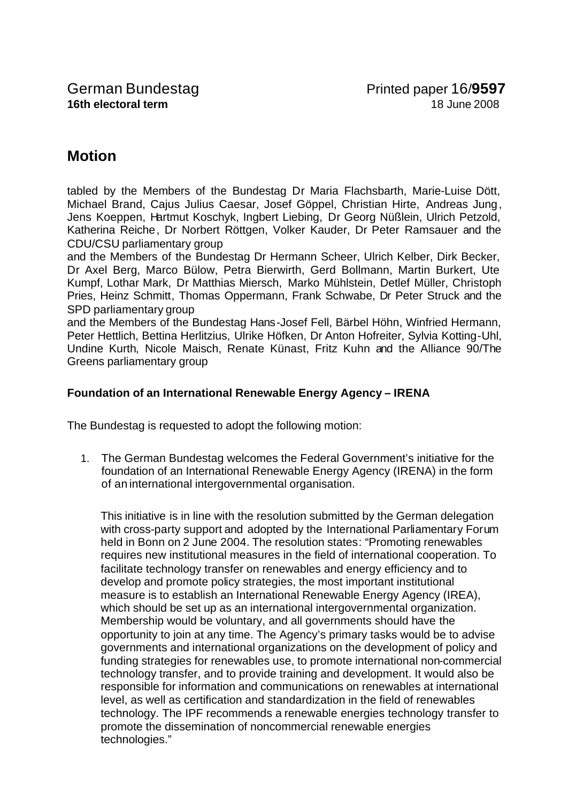## **Motion**

tabled by the Members of the Bundestag Dr Maria Flachsbarth, Marie-Luise Dött, Michael Brand, Cajus Julius Caesar, Josef Göppel, Christian Hirte, Andreas Jung, Jens Koeppen, Hartmut Koschyk, Ingbert Liebing, Dr Georg Nüßlein, Ulrich Petzold, Katherina Reiche, Dr Norbert Röttgen, Volker Kauder, Dr Peter Ramsauer and the CDU/CSU parliamentary group

and the Members of the Bundestag Dr Hermann Scheer, Ulrich Kelber, Dirk Becker, Dr Axel Berg, Marco Bülow, Petra Bierwirth, Gerd Bollmann, Martin Burkert, Ute Kumpf, Lothar Mark, Dr Matthias Miersch, Marko Mühlstein, Detlef Müller, Christoph Pries, Heinz Schmitt, Thomas Oppermann, Frank Schwabe, Dr Peter Struck and the SPD parliamentary group

and the Members of the Bundestag Hans-Josef Fell, Bärbel Höhn, Winfried Hermann, Peter Hettlich, Bettina Herlitzius, Ulrike Höfken, Dr Anton Hofreiter, Sylvia Kotting-Uhl, Undine Kurth, Nicole Maisch, Renate Künast, Fritz Kuhn and the Alliance 90/The Greens parliamentary group

## **Foundation of an International Renewable Energy Agency – IRENA**

The Bundestag is requested to adopt the following motion:

1. The German Bundestag welcomes the Federal Government's initiative for the foundation of an International Renewable Energy Agency (IRENA) in the form of an international intergovernmental organisation.

This initiative is in line with the resolution submitted by the German delegation with cross-party support and adopted by the International Parliamentary Forum held in Bonn on 2 June 2004. The resolution states: "Promoting renewables requires new institutional measures in the field of international cooperation. To facilitate technology transfer on renewables and energy efficiency and to develop and promote policy strategies, the most important institutional measure is to establish an International Renewable Energy Agency (IREA), which should be set up as an international intergovernmental organization. Membership would be voluntary, and all governments should have the opportunity to join at any time. The Agency's primary tasks would be to advise governments and international organizations on the development of policy and funding strategies for renewables use, to promote international non-commercial technology transfer, and to provide training and development. It would also be responsible for information and communications on renewables at international level, as well as certification and standardization in the field of renewables technology. The IPF recommends a renewable energies technology transfer to promote the dissemination of noncommercial renewable energies technologies."